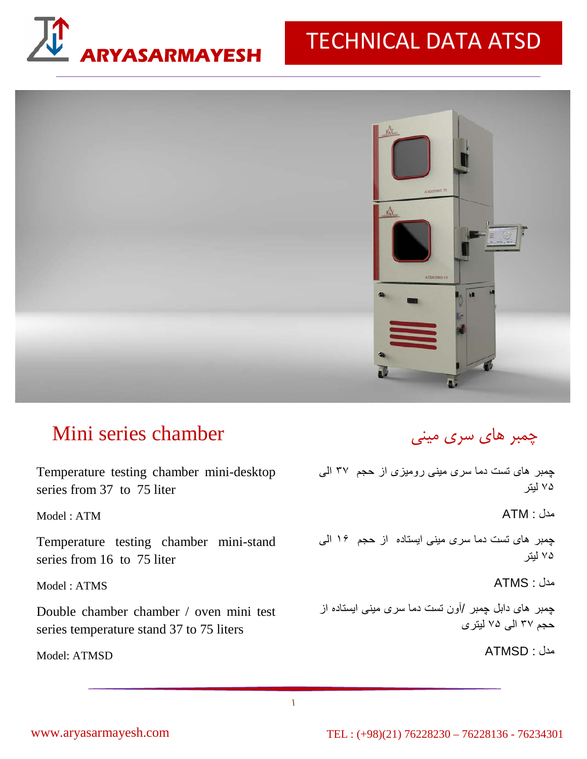

## **ARYASARMAYESH** TECHNICAL DATA ATSD



## Mini series chamber

Temperature testing chamber mini-desktop چمبر های تست دما سری مينی روميزی از حجم ٣٧ الی series from 37 to 75 liter

Model : ATM

Temperature testing chamber mini-stand series from 16 to 75 liter

Model : ATMS

Double chamber chamber / oven mini test series temperature stand 37 to 75 liters

Model: ATMSD

## چمبر هاي سري ميني

٧۵ ليتر

مدل : ATM

چمبر های تست دما سری مينی ايستاده از حجم ١۶ الی ٧۵ ليتر

مدل : ATMS

چمبر های دابل چمبر /آون تست دما سری مينی ايستاده از حجم ٣٧ الی ٧۵ ليتری

مدل : ATMSD